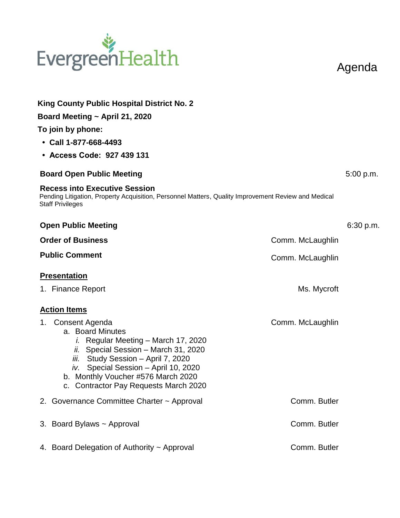## EvergreenHealth

Agenda

| <b>King County Public Hospital District No. 2</b><br>Board Meeting ~ April 21, 2020<br>To join by phone:<br>$\cdot$ Call 1-877-668-4493                                                                                                                                                     |                  |           |  |  |
|---------------------------------------------------------------------------------------------------------------------------------------------------------------------------------------------------------------------------------------------------------------------------------------------|------------------|-----------|--|--|
| • Access Code: 927 439 131                                                                                                                                                                                                                                                                  |                  |           |  |  |
| <b>Board Open Public Meeting</b>                                                                                                                                                                                                                                                            |                  | 5:00 p.m. |  |  |
| <b>Recess into Executive Session</b><br>Pending Litigation, Property Acquisition, Personnel Matters, Quality Improvement Review and Medical<br><b>Staff Privileges</b>                                                                                                                      |                  |           |  |  |
| <b>Open Public Meeting</b>                                                                                                                                                                                                                                                                  |                  | 6:30 p.m. |  |  |
| <b>Order of Business</b>                                                                                                                                                                                                                                                                    | Comm. McLaughlin |           |  |  |
| <b>Public Comment</b>                                                                                                                                                                                                                                                                       | Comm. McLaughlin |           |  |  |
| <b>Presentation</b>                                                                                                                                                                                                                                                                         |                  |           |  |  |
| 1. Finance Report                                                                                                                                                                                                                                                                           | Ms. Mycroft      |           |  |  |
| <b>Action Items</b>                                                                                                                                                                                                                                                                         |                  |           |  |  |
| Consent Agenda<br>1.<br>a. Board Minutes<br><i>i.</i> Regular Meeting – March 17, 2020<br>ii. Special Session - March 31, 2020<br>iii. Study Session - April 7, 2020<br>iv. Special Session - April 10, 2020<br>b. Monthly Voucher #576 March 2020<br>c. Contractor Pay Requests March 2020 | Comm. McLaughlin |           |  |  |
| 2. Governance Committee Charter ~ Approval                                                                                                                                                                                                                                                  | Comm. Butler     |           |  |  |
| 3. Board Bylaws ~ Approval                                                                                                                                                                                                                                                                  | Comm. Butler     |           |  |  |
| 4. Board Delegation of Authority ~ Approval                                                                                                                                                                                                                                                 | Comm. Butler     |           |  |  |